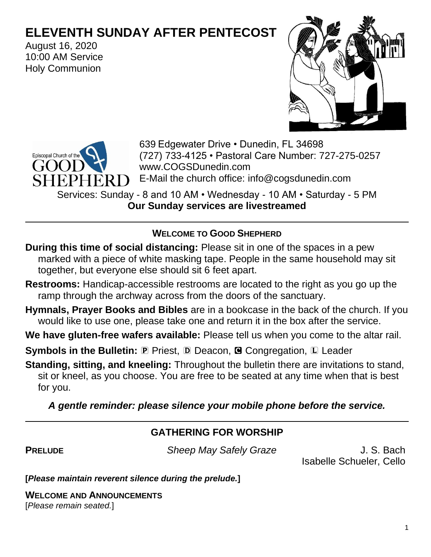# **ELEVENTH SUNDAY AFTER PENTECOST**

August 16, 2020 10:00 AM Service Holy Communion





639 Edgewater Drive • Dunedin, FL 34698 (727) 733-4125 • Pastoral Care Number: 727-275-0257 www.COGSDunedin.com

E-Mail the church office: info@cogsdunedin.com

Services: Sunday - 8 and 10 AM • Wednesday - 10 AM • Saturday - 5 PM **Our Sunday services are livestreamed**

# **WELCOME TO GOOD SHEPHERD**

- **During this time of social distancing:** Please sit in one of the spaces in a pew marked with a piece of white masking tape. People in the same household may sit together, but everyone else should sit 6 feet apart.
- **Restrooms:** Handicap-accessible restrooms are located to the right as you go up the ramp through the archway across from the doors of the sanctuary.
- **Hymnals, Prayer Books and Bibles** are in a bookcase in the back of the church. If you would like to use one, please take one and return it in the box after the service.

**We have gluten-free wafers available:** Please tell us when you come to the altar rail.

**Symbols in the Bulletin: P Priest, D Deacon, @ Congregation, L Leader** 

**Standing, sitting, and kneeling:** Throughout the bulletin there are invitations to stand, sit or kneel, as you choose. You are free to be seated at any time when that is best for you.

*A gentle reminder: please silence your mobile phone before the service.*

# **GATHERING FOR WORSHIP**

**PRELUDE** *Sheep May Safely Graze* J. S. Bach

Isabelle Schueler, Cello

**[***Please maintain reverent silence during the prelude.***]**

**WELCOME AND ANNOUNCEMENTS** [*Please remain seated.*]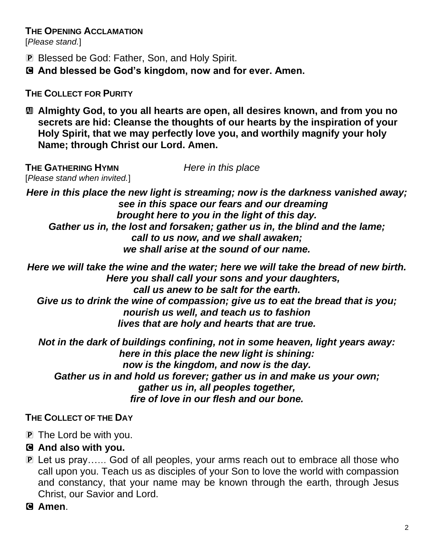**THE OPENING ACCLAMATION**

[*Please stand.*]

P Blessed be God: Father, Son, and Holy Spirit.

C **And blessed be God's kingdom, now and for ever. Amen.**

**THE COLLECT FOR PURITY**

a **Almighty God, to you all hearts are open, all desires known, and from you no secrets are hid: Cleanse the thoughts of our hearts by the inspiration of your Holy Spirit, that we may perfectly love you, and worthily magnify your holy Name; through Christ our Lord. Amen.**

**THE GATHERING HYMN** *Here in this place* [*Please stand when invited.*]

*Here in this place the new light is streaming; now is the darkness vanished away; see in this space our fears and our dreaming brought here to you in the light of this day. Gather us in, the lost and forsaken; gather us in, the blind and the lame; call to us now, and we shall awaken; we shall arise at the sound of our name.* 

*Here we will take the wine and the water; here we will take the bread of new birth. Here you shall call your sons and your daughters, call us anew to be salt for the earth. Give us to drink the wine of compassion; give us to eat the bread that is you; nourish us well, and teach us to fashion lives that are holy and hearts that are true.* 

*Not in the dark of buildings confining, not in some heaven, light years away: here in this place the new light is shining: now is the kingdom, and now is the day. Gather us in and hold us forever; gather us in and make us your own; gather us in, all peoples together, fire of love in our flesh and our bone.* 

# **THE COLLECT OF THE DAY**

P The Lord be with you.

# C **And also with you.**

P Let us pray…… God of all peoples, your arms reach out to embrace all those who call upon you. Teach us as disciples of your Son to love the world with compassion and constancy, that your name may be known through the earth, through Jesus Christ, our Savior and Lord.

### C **Amen**.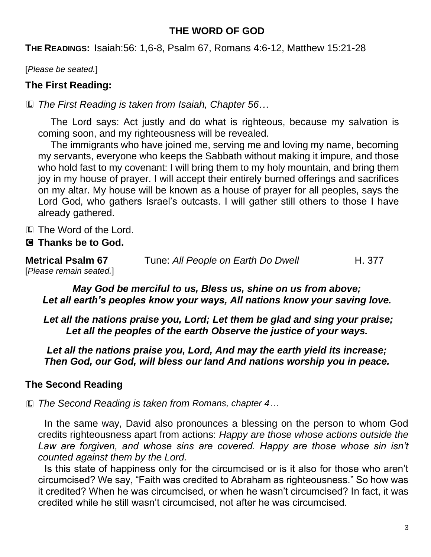#### **THE WORD OF GOD**

**THE READINGS:** Isaiah:56: 1,6-8, Psalm 67, Romans 4:6-12, Matthew 15:21-28

[*Please be seated.*]

# **The First Reading:**

L *The First Reading is taken from Isaiah, Chapter 56…*

The Lord says: Act justly and do what is righteous, because my salvation is coming soon, and my righteousness will be revealed.

The immigrants who have joined me, serving me and loving my name, becoming my servants, everyone who keeps the Sabbath without making it impure, and those who hold fast to my covenant: I will bring them to my holy mountain, and bring them joy in my house of prayer. I will accept their entirely burned offerings and sacrifices on my altar. My house will be known as a house of prayer for all peoples, says the Lord God, who gathers Israel's outcasts. I will gather still others to those I have already gathered.

L The Word of the Lord.

# C **Thanks be to God.**

**Metrical Psalm 67** Tune: All People on Earth Do Dwell **H. 377** [*Please remain seated.*]

*May God be merciful to us, Bless us, shine on us from above; Let all earth's peoples know your ways, All nations know your saving love.*

*Let all the nations praise you, Lord; Let them be glad and sing your praise; Let all the peoples of the earth Observe the justice of your ways.*

*Let all the nations praise you, Lord, And may the earth yield its increase; Then God, our God, will bless our land And nations worship you in peace.*

### **The Second Reading**

L *The Second Reading is taken from Romans, chapter 4…*

In the same way, David also pronounces a blessing on the person to whom God credits righteousness apart from actions: *Happy are those whose actions outside the*  Law are forgiven, and whose sins are covered. Happy are those whose sin isn't *counted against them by the Lord.*

Is this state of happiness only for the circumcised or is it also for those who aren't circumcised? We say, "Faith was credited to Abraham as righteousness." So how was it credited? When he was circumcised, or when he wasn't circumcised? In fact, it was credited while he still wasn't circumcised, not after he was circumcised.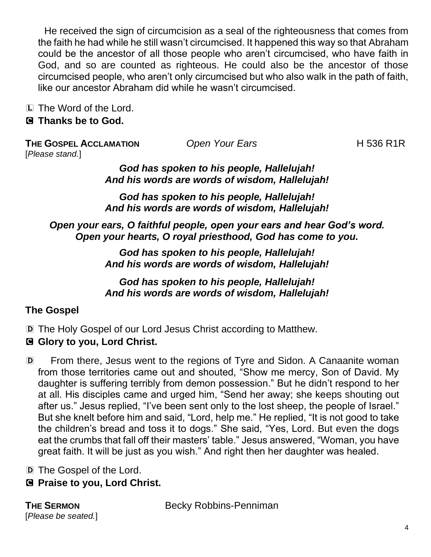He received the sign of circumcision as a seal of the righteousness that comes from the faith he had while he still wasn't circumcised. It happened this way so that Abraham could be the ancestor of all those people who aren't circumcised, who have faith in God, and so are counted as righteous. He could also be the ancestor of those circumcised people, who aren't only circumcised but who also walk in the path of faith, like our ancestor Abraham did while he wasn't circumcised.

L The Word of the Lord.

#### C **Thanks be to God.**

**THE GOSPEL ACCLAMATION** *Open Your Ears* **H** 536 R1R [*Please stand.*]

*God has spoken to his people, Hallelujah! And his words are words of wisdom, Hallelujah!*

*God has spoken to his people, Hallelujah! And his words are words of wisdom, Hallelujah!*

*Open your ears, O faithful people, open your ears and hear God's word. Open your hearts, O royal priesthood, God has come to you.*

> *God has spoken to his people, Hallelujah! And his words are words of wisdom, Hallelujah!*

> *God has spoken to his people, Hallelujah! And his words are words of wisdom, Hallelujah!*

### **The Gospel**

D The Holy Gospel of our Lord Jesus Christ according to Matthew.

# C **Glory to you, Lord Christ.**

D From there, Jesus went to the regions of Tyre and Sidon. A Canaanite woman from those territories came out and shouted, "Show me mercy, Son of David. My daughter is suffering terribly from demon possession." But he didn't respond to her at all. His disciples came and urged him, "Send her away; she keeps shouting out after us." Jesus replied, "I've been sent only to the lost sheep, the people of Israel." But she knelt before him and said, "Lord, help me." He replied, "It is not good to take the children's bread and toss it to dogs." She said, "Yes, Lord. But even the dogs eat the crumbs that fall off their masters' table." Jesus answered, "Woman, you have great faith. It will be just as you wish." And right then her daughter was healed.

D The Gospel of the Lord.

C **Praise to you, Lord Christ.**

[*Please be seated.*]

**THE SERMON** Becky Robbins-Penniman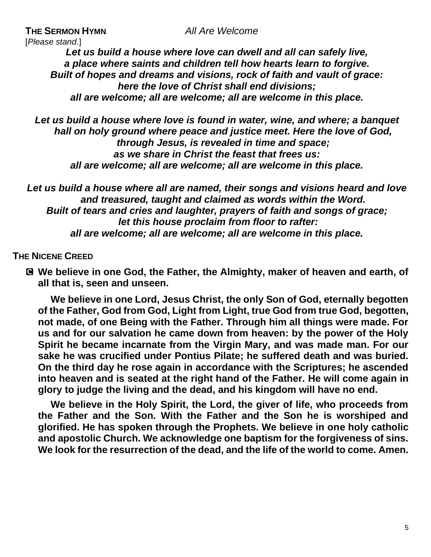**THE SERMON HYMN** *All Are Welcome* [*Please stand.*]

*Let us build a house where love can dwell and all can safely live, a place where saints and children tell how hearts learn to forgive. Built of hopes and dreams and visions, rock of faith and vault of grace: here the love of Christ shall end divisions; all are welcome; all are welcome; all are welcome in this place.* 

*Let us build a house where love is found in water, wine, and where; a banquet hall on holy ground where peace and justice meet. Here the love of God, through Jesus, is revealed in time and space; as we share in Christ the feast that frees us: all are welcome; all are welcome; all are welcome in this place.* 

*Let us build a house where all are named, their songs and visions heard and love and treasured, taught and claimed as words within the Word. Built of tears and cries and laughter, prayers of faith and songs of grace; let this house proclaim from floor to rafter: all are welcome; all are welcome; all are welcome in this place.* 

**THE NICENE CREED**

C **We believe in one God, the Father, the Almighty, maker of heaven and earth, of all that is, seen and unseen.** 

**We believe in one Lord, Jesus Christ, the only Son of God, eternally begotten of the Father, God from God, Light from Light, true God from true God, begotten, not made, of one Being with the Father. Through him all things were made. For us and for our salvation he came down from heaven: by the power of the Holy Spirit he became incarnate from the Virgin Mary, and was made man. For our sake he was crucified under Pontius Pilate; he suffered death and was buried. On the third day he rose again in accordance with the Scriptures; he ascended into heaven and is seated at the right hand of the Father. He will come again in glory to judge the living and the dead, and his kingdom will have no end.**

**We believe in the Holy Spirit, the Lord, the giver of life, who proceeds from the Father and the Son. With the Father and the Son he is worshiped and glorified. He has spoken through the Prophets. We believe in one holy catholic and apostolic Church. We acknowledge one baptism for the forgiveness of sins. We look for the resurrection of the dead, and the life of the world to come. Amen.**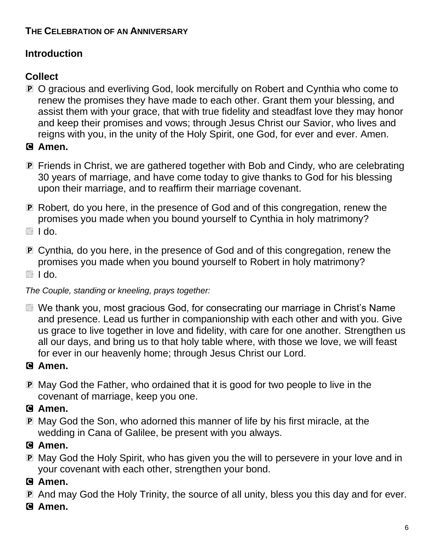#### **THE CELEBRATION OF AN ANNIVERSARY**

# **Introduction**

# **Collect**

P O gracious and everliving God, look mercifully on Robert and Cynthia who come to renew the promises they have made to each other. Grant them your blessing, and assist them with your grace, that with true fidelity and steadfast love they may honor and keep their promises and vows; through Jesus Christ our Savior, who lives and reigns with you, in the unity of the Holy Spirit, one God, for ever and ever. Amen.

C **Amen.**

- P Friends in Christ, we are gathered together with Bob and Cindy*,* who are celebrating 30 years of marriage, and have come today to give thanks to God for his blessing upon their marriage, and to reaffirm their marriage covenant.
- P Robert*,* do you here, in the presence of God and of this congregation, renew the promises you made when you bound yourself to Cynthia in holy matrimony?

R I do.

P Cynthia*,* do you here, in the presence of God and of this congregation, renew the promises you made when you bound yourself to Robert in holy matrimony?

R I do.

*The Couple, standing or kneeling, prays together:*

■ We thank you, most gracious God, for consecrating our marriage in Christ's Name and presence. Lead us further in companionship with each other and with you. Give us grace to live together in love and fidelity, with care for one another. Strengthen us all our days, and bring us to that holy table where, with those we love, we will feast for ever in our heavenly home; through Jesus Christ our Lord.

C **Amen.**

P May God the Father, who ordained that it is good for two people to live in the covenant of marriage, keep you one.

C **Amen.**

P May God the Son, who adorned this manner of life by his first miracle, at the wedding in Cana of Galilee, be present with you always.

### C **Amen.**

P May God the Holy Spirit, who has given you the will to persevere in your love and in your covenant with each other, strengthen your bond.

# C **Amen.**

P And may God the Holy Trinity, the source of all unity, bless you this day and for ever.

C **Amen.**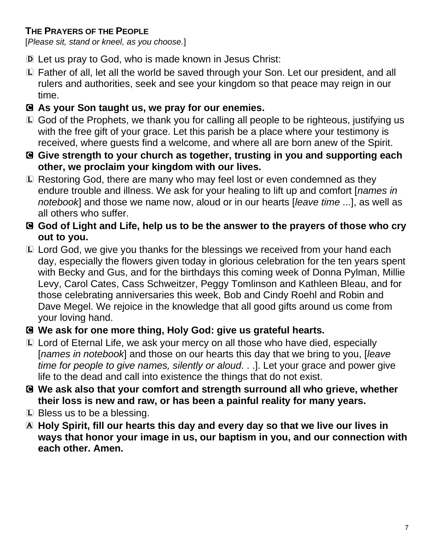# **THE PRAYERS OF THE PEOPLE**

[*Please sit, stand or kneel, as you choose.*]

- D Let us pray to God, who is made known in Jesus Christ:
- L Father of all, let all the world be saved through your Son. Let our president, and all rulers and authorities, seek and see your kingdom so that peace may reign in our time.
- C **As your Son taught us, we pray for our enemies.**
- L God of the Prophets, we thank you for calling all people to be righteous, justifying us with the free gift of your grace. Let this parish be a place where your testimony is received, where guests find a welcome, and where all are born anew of the Spirit.
- C **Give strength to your church as together, trusting in you and supporting each other, we proclaim your kingdom with our lives.**
- L Restoring God, there are many who may feel lost or even condemned as they endure trouble and illness. We ask for your healing to lift up and comfort [*names in notebook*] and those we name now, aloud or in our hearts [*leave time* ...], as well as all others who suffer.
- C **God of Light and Life, help us to be the answer to the prayers of those who cry out to you.**
- L Lord God, we give you thanks for the blessings we received from your hand each day, especially the flowers given today in glorious celebration for the ten years spent with Becky and Gus, and for the birthdays this coming week of Donna Pylman, Millie Levy, Carol Cates, Cass Schweitzer, Peggy Tomlinson and Kathleen Bleau, and for those celebrating anniversaries this week, Bob and Cindy Roehl and Robin and Dave Megel. We rejoice in the knowledge that all good gifts around us come from your loving hand.

# C **We ask for one more thing, Holy God: give us grateful hearts.**

- L Lord of Eternal Life, we ask your mercy on all those who have died, especially [*names in notebook*] and those on our hearts this day that we bring to you, [*leave time for people to give names, silently or aloud*. . .]. Let your grace and power give life to the dead and call into existence the things that do not exist.
- C **We ask also that your comfort and strength surround all who grieve, whether their loss is new and raw, or has been a painful reality for many years.**
- L Bless us to be a blessing.
- A **Holy Spirit, fill our hearts this day and every day so that we live our lives in ways that honor your image in us, our baptism in you, and our connection with each other. Amen.**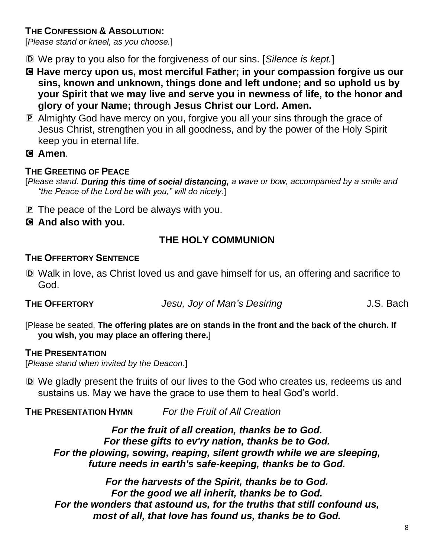### **THE CONFESSION & ABSOLUTION:**

[*Please stand or kneel, as you choose.*]

D We pray to you also for the forgiveness of our sins. [*Silence is kept.*]

- C **Have mercy upon us, most merciful Father; in your compassion forgive us our sins, known and unknown, things done and left undone; and so uphold us by your Spirit that we may live and serve you in newness of life, to the honor and glory of your Name; through Jesus Christ our Lord. Amen.**
- P Almighty God have mercy on you, forgive you all your sins through the grace of Jesus Christ, strengthen you in all goodness, and by the power of the Holy Spirit keep you in eternal life.
- C **Amen**.

### **THE GREETING OF PEACE**

[*Please stand. During this time of social distancing, a wave or bow, accompanied by a smile and "the Peace of the Lord be with you," will do nicely.*]

P The peace of the Lord be always with you.

#### C **And also with you.**

# **THE HOLY COMMUNION**

#### **THE OFFERTORY SENTENCE**

D Walk in love, as Christ loved us and gave himself for us, an offering and sacrifice to God.

**THE OFFERTORY** *Jesu, Joy of Man's Desiring* J.S. Bach

[Please be seated. **The offering plates are on stands in the front and the back of the church. If you wish, you may place an offering there.**]

#### **THE PRESENTATION**

[*Please stand when invited by the Deacon.*]

D We gladly present the fruits of our lives to the God who creates us, redeems us and sustains us. May we have the grace to use them to heal God's world.

**THE PRESENTATION HYMN** *For the Fruit of All Creation*

#### *For the fruit of all creation, thanks be to God. For these gifts to ev'ry nation, thanks be to God. For the plowing, sowing, reaping, silent growth while we are sleeping, future needs in earth's safe-keeping, thanks be to God.*

*For the harvests of the Spirit, thanks be to God. For the good we all inherit, thanks be to God. For the wonders that astound us, for the truths that still confound us, most of all, that love has found us, thanks be to God.*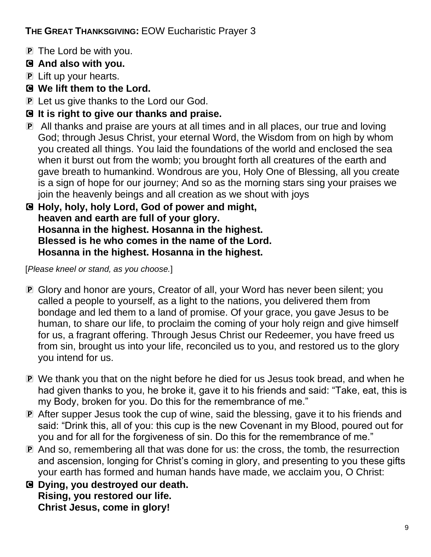# **THE GREAT THANKSGIVING:** EOW Eucharistic Prayer 3

- P The Lord be with you.
- C **And also with you.**
- P Lift up your hearts.
- C **We lift them to the Lord.**
- P Let us give thanks to the Lord our God.
- C **It is right to give our thanks and praise.**
- P All thanks and praise are yours at all times and in all places, our true and loving God; through Jesus Christ, your eternal Word, the Wisdom from on high by whom you created all things. You laid the foundations of the world and enclosed the sea when it burst out from the womb; you brought forth all creatures of the earth and gave breath to humankind. Wondrous are you, Holy One of Blessing, all you create is a sign of hope for our journey; And so as the morning stars sing your praises we join the heavenly beings and all creation as we shout with joys
- C **Holy, holy, holy Lord, God of power and might, heaven and earth are full of your glory. Hosanna in the highest. Hosanna in the highest. Blessed is he who comes in the name of the Lord. Hosanna in the highest. Hosanna in the highest.**

[*Please kneel or stand, as you choose.*]

- P Glory and honor are yours, Creator of all, your Word has never been silent; you called a people to yourself, as a light to the nations, you delivered them from bondage and led them to a land of promise. Of your grace, you gave Jesus to be human, to share our life, to proclaim the coming of your holy reign and give himself for us, a fragrant offering. Through Jesus Christ our Redeemer, you have freed us from sin, brought us into your life, reconciled us to you, and restored us to the glory you intend for us.
- P We thank you that on the night before he died for us Jesus took bread, and when he had given thanks to you, he broke it, gave it to his friends and said: "Take, eat, this is my Body, broken for you. Do this for the remembrance of me."
- P After supper Jesus took the cup of wine, said the blessing, gave it to his friends and said: "Drink this, all of you: this cup is the new Covenant in my Blood, poured out for you and for all for the forgiveness of sin. Do this for the remembrance of me."
- P And so, remembering all that was done for us: the cross, the tomb, the resurrection and ascension, longing for Christ's coming in glory, and presenting to you these gifts your earth has formed and human hands have made, we acclaim you, O Christ:
- C **Dying, you destroyed our death. Rising, you restored our life. Christ Jesus, come in glory!**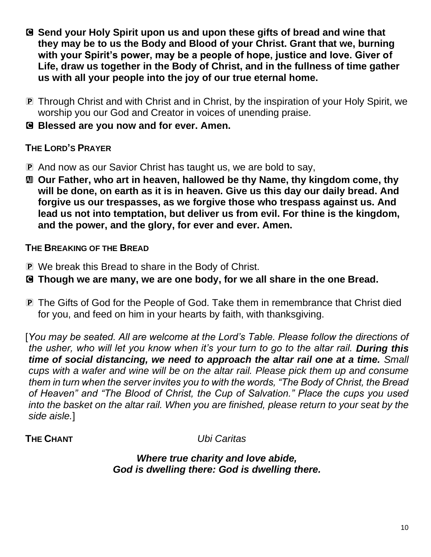- C **Send your Holy Spirit upon us and upon these gifts of bread and wine that they may be to us the Body and Blood of your Christ. Grant that we, burning with your Spirit's power, may be a people of hope, justice and love. Giver of Life, draw us together in the Body of Christ, and in the fullness of time gather us with all your people into the joy of our true eternal home.**
- P Through Christ and with Christ and in Christ, by the inspiration of your Holy Spirit, we worship you our God and Creator in voices of unending praise.
- C **Blessed are you now and for ever. Amen.**

#### **THE LORD'S PRAYER**

- P And now as our Savior Christ has taught us, we are bold to say,
- a **Our Father, who art in heaven, hallowed be thy Name, thy kingdom come, thy will be done, on earth as it is in heaven. Give us this day our daily bread. And forgive us our trespasses, as we forgive those who trespass against us. And lead us not into temptation, but deliver us from evil. For thine is the kingdom, and the power, and the glory, for ever and ever. Amen.**

#### **THE BREAKING OF THE BREAD**

- P We break this Bread to share in the Body of Christ.
- C **Though we are many, we are one body, for we all share in the one Bread.**
- P The Gifts of God for the People of God. Take them in remembrance that Christ died for you, and feed on him in your hearts by faith, with thanksgiving.

[*You may be seated. All are welcome at the Lord's Table. Please follow the directions of the usher, who will let you know when it's your turn to go to the altar rail. During this time of social distancing, we need to approach the altar rail one at a time. Small cups with a wafer and wine will be on the altar rail. Please pick them up and consume them in turn when the server invites you to with the words, "The Body of Christ, the Bread of Heaven" and "The Blood of Christ, the Cup of Salvation." Place the cups you used into the basket on the altar rail. When you are finished, please return to your seat by the side aisle.*]

**THE CHANT** *Ubi Caritas*

#### *Where true charity and love abide, God is dwelling there: God is dwelling there.*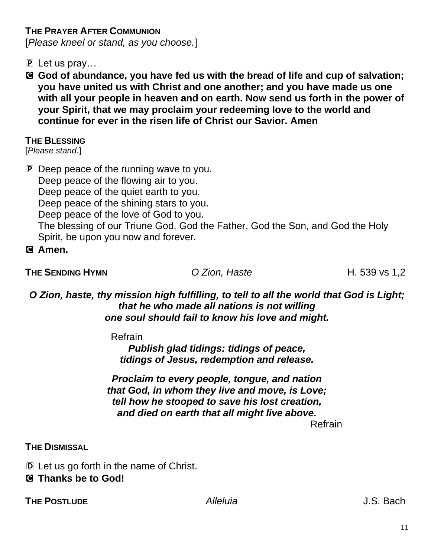#### **THE PRAYER AFTER COMMUNION**

[*Please kneel or stand, as you choose.*]

- $\mathbf{P}$  Let us pray...
- C **God of abundance, you have fed us with the bread of life and cup of salvation; you have united us with Christ and one another; and you have made us one with all your people in heaven and on earth. Now send us forth in the power of your Spirit, that we may proclaim your redeeming love to the world and continue for ever in the risen life of Christ our Savior. Amen**

#### **THE BLESSING**

[*Please stand.*]

P Deep peace of the running wave to you. Deep peace of the flowing air to you. Deep peace of the quiet earth to you. Deep peace of the shining stars to you.

Deep peace of the love of God to you.

The blessing of our Triune God, God the Father, God the Son, and God the Holy Spirit, be upon you now and forever.

### C **Amen.**

**THE SENDING HYMN O Zion, Haste H. 539 vs 1,2** 

#### *O Zion, haste, thy mission high fulfilling, to tell to all the world that God is Light; that he who made all nations is not willing one soul should fail to know his love and might.*

Refrain

*Publish glad tidings: tidings of peace, tidings of Jesus, redemption and release.*

*Proclaim to every people, tongue, and nation that God, in whom they live and move, is Love; tell how he stooped to save his lost creation, and died on earth that all might live above.*

Refrain

**THE DISMISSAL** 

D Let us go forth in the name of Christ.

# C **Thanks be to God!**

**THE POSTLUDE** *Alleluia* J.S. Bach